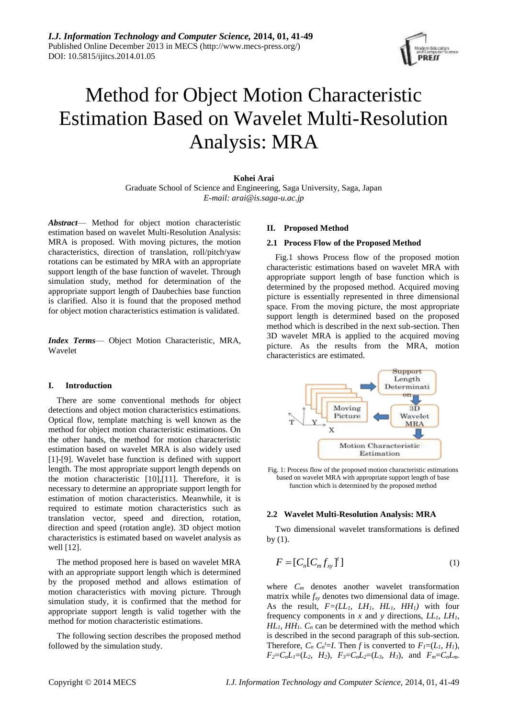

# Method for Object Motion Characteristic Estimation Based on Wavelet Multi-Resolution Analysis: MRA

## **Kohei Arai**

Graduate School of Science and Engineering, Saga University, Saga, Japan *E-mail: arai@is.saga-u.ac.jp*

*Abstract*— Method for object motion characteristic estimation based on wavelet Multi-Resolution Analysis: MRA is proposed. With moving pictures, the motion characteristics, direction of translation, roll/pitch/yaw rotations can be estimated by MRA with an appropriate support length of the base function of wavelet. Through simulation study, method for determination of the appropriate support length of Daubechies base function is clarified. Also it is found that the proposed method for object motion characteristics estimation is validated.

*Index Terms*— Object Motion Characteristic, MRA, Wavelet

## **I. Introduction**

There are some conventional methods for object detections and object motion characteristics estimations. Optical flow, template matching is well known as the method for object motion characteristic estimations. On the other hands, the method for motion characteristic estimation based on wavelet MRA is also widely used [1]-[9]. Wavelet base function is defined with support length. The most appropriate support length depends on the motion characteristic [10],[11]. Therefore, it is necessary to determine an appropriate support length for estimation of motion characteristics. Meanwhile, it is required to estimate motion characteristics such as translation vector, speed and direction, rotation, direction and speed (rotation angle). 3D object motion characteristics is estimated based on wavelet analysis as well [12].

The method proposed here is based on wavelet MRA with an appropriate support length which is determined by the proposed method and allows estimation of motion characteristics with moving picture. Through simulation study, it is confirmed that the method for appropriate support length is valid together with the method for motion characteristic estimations.

The following section describes the proposed method followed by the simulation study.

# **II. Proposed Method**

#### **2.1 Process Flow of the Proposed Method**

Fig.1 shows Process flow of the proposed motion characteristic estimations based on wavelet MRA with appropriate support length of base function which is determined by the proposed method. Acquired moving picture is essentially represented in three dimensional space. From the moving picture, the most appropriate support length is determined based on the proposed method which is described in the next sub-section. Then 3D wavelet MRA is applied to the acquired moving picture. As the results from the MRA, motion characteristics are estimated.



Fig. 1: Process flow of the proposed motion characteristic estimations based on wavelet MRA with appropriate support length of base function which is determined by the proposed method

## **2.2 Wavelet Multi-Resolution Analysis: MRA**

Two dimensional wavelet transformations is defined by  $(1)$ .

$$
F = [C_n [C_m f_{xy}]^t]
$$
 (1)

where  $C_m$  denotes another wavelet transformation matrix while *fxy* denotes two dimensional data of image. As the result,  $F=(LL_I, LH_I, HL_I, HH_I)$  with four frequency components in *x* and *y* directions, *LL1, LH1,*   $HL_1$ ,  $HH_1$ .  $C_n$  can be determined with the method which is described in the second paragraph of this sub-section. Therefore,  $C_n C_n^t = I$ . Then *f* is converted to  $F_I = (L_I, H_I)$ ,  $F_2 = C_n L_1 = (L_2, H_2), F_3 = C_n L_2 = (L_3, H_3),$  and  $F_m = C_n L_m$ .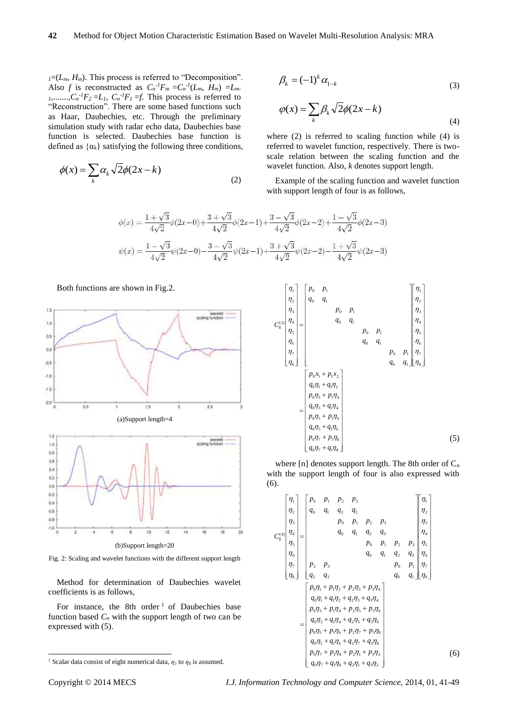$I = (L_m, H_m)$ . This process is referred to "Decomposition". Also *f* is reconstructed as  $C_n^{-1}F_m = C_n^{-1}(L_m, H_m) = L_m$  $I_1$ ,......., $C_n$ <sup>-1</sup> $F_2$  =*L*<sub>*I*</sub>,  $C_n$ <sup>-1</sup> $F_1$  =*f*. This process is referred to "Reconstruction". There are some based functions such as Haar, Daubechies, etc. Through the preliminary simulation study with radar echo data, Daubechies base function is selected. Daubechies base function is defined as  $\{\alpha_k\}$  satisfying the following three conditions,

$$
\phi(x) = \sum_{k} \alpha_k \sqrt{2} \phi(2x - k)
$$
\n(2)

$$
\beta_k = (-1)^k \alpha_{1-k} \tag{3}
$$

$$
\varphi(x) = \sum_{k} \beta_k \sqrt{2} \phi(2x - k)
$$
\n(4)

where (2) is referred to scaling function while (4) is referred to wavelet function, respectively. There is twoscale relation between the scaling function and the wavelet function. Also, *k* denotes support length.

Example of the scaling function and wavelet function with support length of four is as follows,

$$
\phi(x) = \frac{1+\sqrt{3}}{4\sqrt{2}}\phi(2x-0) + \frac{3+\sqrt{3}}{4\sqrt{2}}\phi(2x-1) + \frac{3-\sqrt{3}}{4\sqrt{2}}\phi(2x-2) + \frac{1-\sqrt{3}}{4\sqrt{2}}\phi(2x-3)
$$
  

$$
\psi(x) = \frac{1-\sqrt{3}}{4\sqrt{2}}\psi(2x-0) - \frac{3-\sqrt{3}}{4\sqrt{2}}\psi(2x-1) + \frac{3+\sqrt{3}}{4\sqrt{2}}\psi(2x-2) - \frac{1+\sqrt{3}}{4\sqrt{2}}\psi(2x-3)
$$

Both functions are shown in Fig.2.



Fig. 2: Scaling and wavelet functions with the different support length

Method for determination of Daubechies wavelet coefficients is as follows,

For instance, the 8th order  $1$  of Daubechies base function based  $C_n$  with the support length of two can be expressed with (5).

 0 7 1 8 0 7 1 8 0 5 1 6 0 5 1 6 0 3 1 4 0 3 1 4 0 1 1 2 0 1 1 2 8 7 6 5 4 3 2 1 0 1 0 1 0 1 0 1 0 1 0 1 0 1 0 1 8 7 6 5 4 3 2 1 [2] 8 *q q p p q q p p q q p p q q p x p x q q p p q q p p q q p p q q p p C* (5)

where  $[n]$  denotes support length. The 8th order of  $C_n$ with the support length of four is also expressed with (6).

$$
C_8^{[4]} \begin{bmatrix} p_0 & p_1 & p_2 & p_3 \\ q_0 & q_1 & q_2 & q_3 \\ p_0 & p_1 & p_2 & p_3 \\ q_5 & q_6 & q_1 & q_2 & q_3 \\ \eta_5 & \eta_6 & \eta_7 & \eta_8 \end{bmatrix} = \begin{bmatrix} p_0 & p_1 & p_2 & p_3 & p_4 \\ q_0 & q_1 & q_2 & q_3 & p_5 \\ p_0 & p_1 & p_2 & p_3 & p_6 \\ p_0 & q_1 & q_2 & q_3 & p_6 \\ \eta_7 & \eta_8 & \eta_9 & \eta_9 & \eta_1 \\ \eta_9 & \eta_9 & \eta_9 & \eta_1 & \eta_7 \\ \eta_1 & \eta_2 & \eta_3 & \eta_9 & \eta_1 \\ \eta_2 & \eta_3 & \eta_9 & \eta_1 & \eta_7 \\ \eta_3 & \eta_9 & \eta_1 & \eta_2 & \eta_3 \\ \eta_3 & \eta_4 & \eta_2 & \eta_3 & \eta_4 \\ \eta_5 & \eta_3 & \eta_4 & \eta_2 & \eta_3 & \eta_4 \\ \eta_6 & \eta_1 + \eta_1 \eta_2 + \eta_2 \eta_3 + \eta_3 \eta_4 & \eta_2 \eta_5 + \eta_3 \eta_4 & \eta_3 \eta_4 \\ \eta_0 \eta_3 + \eta_1 \eta_4 + \eta_2 \eta_5 + \eta_3 \eta_6 & \eta_3 \eta_7 & \eta_7 \eta_8 + \eta_2 \eta_7 + \eta_3 \eta_8 \\ \eta_0 \eta_5 + \eta_1 \eta_6 + \eta_2 \eta_7 + \eta_3 \eta_8 & \eta_3 \eta_8 \\ \eta_0 \eta_7 + \eta_1 \eta_8 + \eta_2 \eta_1 + \eta_3 \eta_2 & \eta_1 \end{bmatrix} \tag{6}
$$

1

<sup>&</sup>lt;sup>1</sup> Scalar data consist of eight numerical data,  $\eta_1$  to  $\eta_8$  is assumed.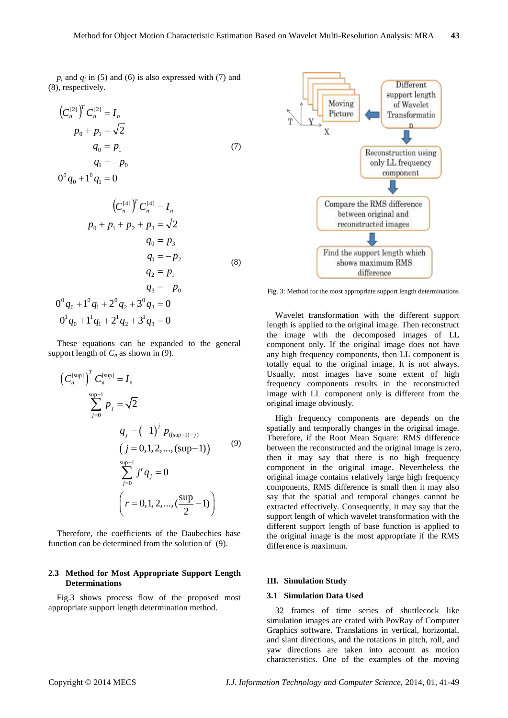$p_i$  and  $q_i$  in (5) and (6) is also expressed with (7) and (8), respectively.

$$
(C_n^{[2]})^T C_n^{[2]} = I_n
$$
  
\n
$$
p_0 + p_1 = \sqrt{2}
$$
  
\n
$$
q_0 = p_1
$$
  
\n
$$
q_1 = -p_0
$$
  
\n
$$
0^0 q_0 + 1^0 q_1 = 0
$$
\n(7)

 $\boldsymbol{0}$ 

$$
(C_n^{[4]})^T C_n^{[4]} = I_n
$$
  
\n
$$
p_0 + p_1 + p_2 + p_3 = \sqrt{2}
$$
  
\n
$$
q_0 = p_3
$$
  
\n
$$
q_1 = -p_2
$$
  
\n
$$
q_2 = p_1
$$
  
\n
$$
q_3 = -p_0
$$
  
\n
$$
0^0 q_0 + 1^0 q_1 + 2^0 q_2 + 3^0 q_3 = 0
$$
  
\n
$$
0^1 q_0 + 1^1 q_1 + 2^1 q_2 + 3^1 q_3 = 0
$$

These equations can be expanded to the general support length of  $C_n$  as shown in (9).

$$
\left(C_n^{\text{sup}}\right)^T C_n^{\text{sup}} = I_n
$$
\n
$$
\sum_{j=0}^{\text{sup}-1} p_j = \sqrt{2}
$$
\n
$$
q_j = (-1)^j p_{(\text{sup}-1)-j}
$$
\n
$$
(j = 0, 1, 2, ..., (\text{sup}-1))
$$
\n
$$
\sum_{j=0}^{\text{sup}-1} j^r q_j = 0
$$
\n
$$
\left(r = 0, 1, 2, ..., \left(\frac{\text{sup}}{2} - 1\right)\right)
$$
\n(9)

Therefore, the coefficients of the Daubechies base function can be determined from the solution of (9).

# **2.3 Method for Most Appropriate Support Length Determinations**

Fig.3 shows process flow of the proposed most appropriate support length determination method.



Fig. 3: Method for the most appropriate support length determinations

Wavelet transformation with the different support length is applied to the original image. Then reconstruct the image with the decomposed images of LL component only. If the original image does not have any high frequency components, then LL component is totally equal to the original image. It is not always. Usually, most images have some extent of high frequency components results in the reconstructed image with LL component only is different from the original image obviously.

High frequency components are depends on the spatially and temporally changes in the original image. Therefore, if the Root Mean Square: RMS difference between the reconstructed and the original image is zero, then it may say that there is no high frequency component in the original image. Nevertheless the original image contains relatively large high frequency components, RMS difference is small then it may also say that the spatial and temporal changes cannot be extracted effectively. Consequently, it may say that the support length of which wavelet transformation with the different support length of base function is applied to the original image is the most appropriate if the RMS difference is maximum.

#### **III. Simulation Study**

#### **3.1 Simulation Data Used**

32 frames of time series of shuttlecock like simulation images are crated with PovRay of Computer Graphics software. Translations in vertical, horizontal, and slant directions, and the rotations in pitch, roll, and yaw directions are taken into account as motion characteristics. One of the examples of the moving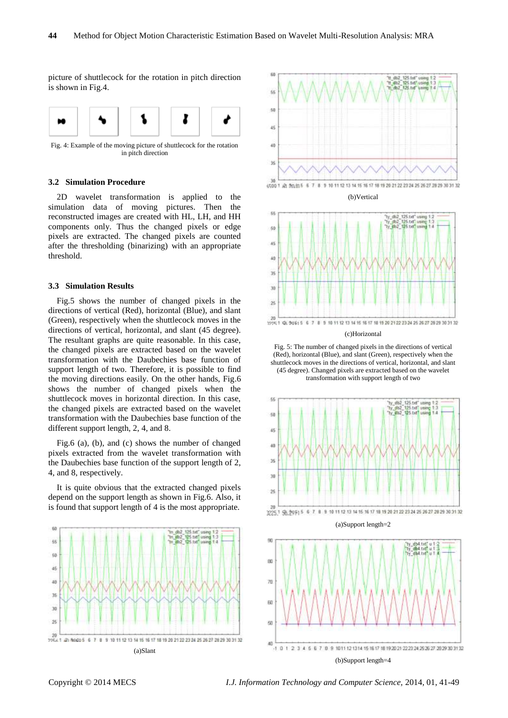picture of shuttlecock for the rotation in pitch direction is shown in Fig.4.



Fig. 4: Example of the moving picture of shuttlecock for the rotation in pitch direction

# **3.2 Simulation Procedure**

2D wavelet transformation is applied to the simulation data of moving pictures. Then the reconstructed images are created with HL, LH, and HH components only. Thus the changed pixels or edge pixels are extracted. The changed pixels are counted after the thresholding (binarizing) with an appropriate threshold.

## **3.3 Simulation Results**

Fig.5 shows the number of changed pixels in the directions of vertical (Red), horizontal (Blue), and slant (Green), respectively when the shuttlecock moves in the directions of vertical, horizontal, and slant (45 degree). The resultant graphs are quite reasonable. In this case, the changed pixels are extracted based on the wavelet transformation with the Daubechies base function of support length of two. Therefore, it is possible to find the moving directions easily. On the other hands, Fig.6 shows the number of changed pixels when the shuttlecock moves in horizontal direction. In this case, the changed pixels are extracted based on the wavelet transformation with the Daubechies base function of the different support length, 2, 4, and 8.

Fig.6 (a), (b), and (c) shows the number of changed pixels extracted from the wavelet transformation with the Daubechies base function of the support length of 2, 4, and 8, respectively.

It is quite obvious that the extracted changed pixels depend on the support length as shown in Fig.6. Also, it is found that support length of 4 is the most appropriate.







Fig. 5: The number of changed pixels in the directions of vertical (Red), horizontal (Blue), and slant (Green), respectively when the shuttlecock moves in the directions of vertical, horizontal, and slant (45 degree). Changed pixels are extracted based on the wavelet transformation with support length of two



(a)Support length=2



Copyright © 2014 MECS *I.J. Information Technology and Computer Science,* 2014, 01, 41-49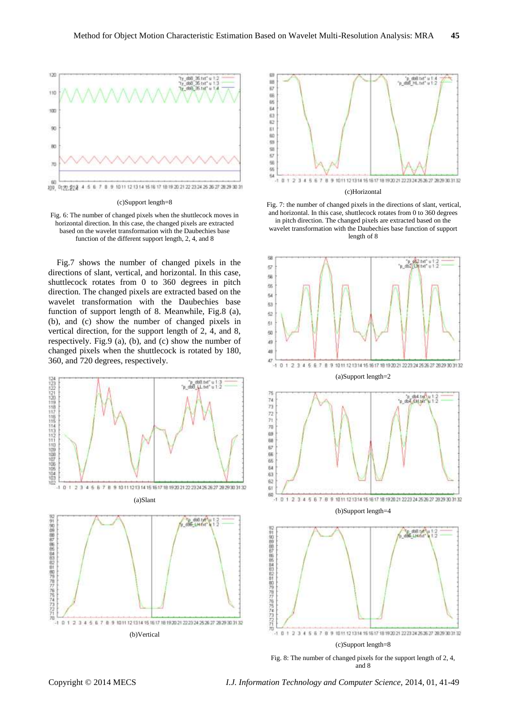

(c)Support length=8

Fig. 6: The number of changed pixels when the shuttlecock moves in horizontal direction. In this case, the changed pixels are extracted based on the wavelet transformation with the Daubechies base function of the different support length, 2, 4, and 8

Fig.7 shows the number of changed pixels in the directions of slant, vertical, and horizontal. In this case, shuttlecock rotates from 0 to 360 degrees in pitch direction. The changed pixels are extracted based on the wavelet transformation with the Daubechies base function of support length of 8. Meanwhile, Fig.8 (a), (b), and (c) show the number of changed pixels in vertical direction, for the support length of 2, 4, and 8, respectively. Fig.9 (a), (b), and (c) show the number of changed pixels when the shuttlecock is rotated by 180, 360, and 720 degrees, respectively.





#### (c)Horizontal

Fig. 7: the number of changed pixels in the directions of slant, vertical, and horizontal. In this case, shuttlecock rotates from 0 to 360 degrees in pitch direction. The changed pixels are extracted based on the wavelet transformation with the Daubechies base function of support length of 8

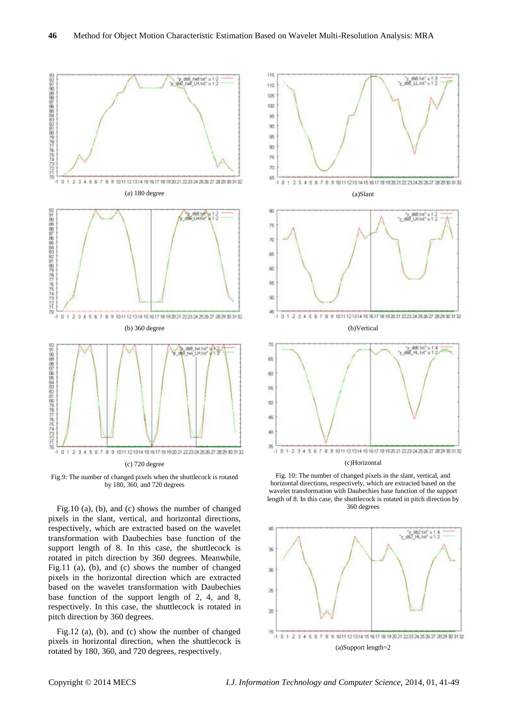

Fig.9: The number of changed pixels when the shuttlecock is rotated by 180, 360, and 720 degrees

Fig.10 (a), (b), and (c) shows the number of changed pixels in the slant, vertical, and horizontal directions, respectively, which are extracted based on the wavelet transformation with Daubechies base function of the support length of 8. In this case, the shuttlecock is rotated in pitch direction by 360 degrees. Meanwhile, Fig.11 (a), (b), and (c) shows the number of changed pixels in the horizontal direction which are extracted based on the wavelet transformation with Daubechies base function of the support length of 2, 4, and 8, respectively. In this case, the shuttlecock is rotated in pitch direction by 360 degrees.

Fig.12 (a), (b), and (c) show the number of changed pixels in horizontal direction, when the shuttlecock is rotated by 180, 360, and 720 degrees, respectively.



(c)Horizontal

Fig. 10: The number of changed pixels in the slant, vertical, and horizontal directions, respectively, which are extracted based on the wavelet transformation with Daubechies base function of the support length of 8. In this case, the shuttlecock is rotated in pitch direction by 360 degrees

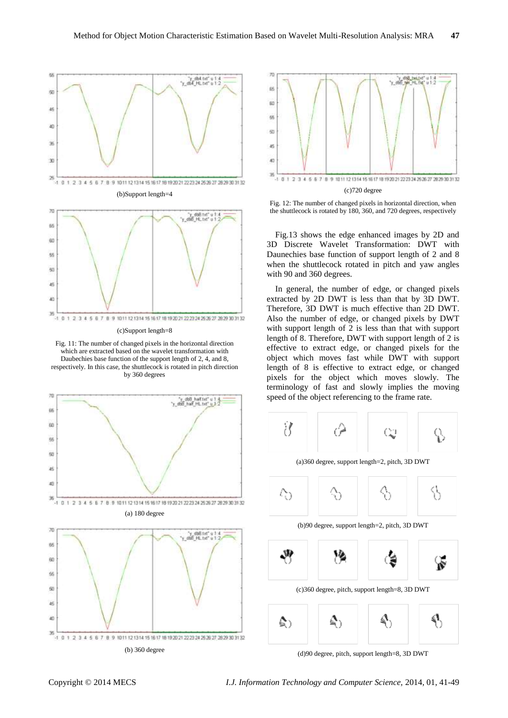

Fig. 11: The number of changed pixels in the horizontal direction which are extracted based on the wavelet transformation with Daubechies base function of the support length of 2, 4, and 8, respectively. In this case, the shuttlecock is rotated in pitch direction by 360 degrees





Fig. 12: The number of changed pixels in horizontal direction, when the shuttlecock is rotated by 180, 360, and 720 degrees, respectively

Fig.13 shows the edge enhanced images by 2D and 3D Discrete Wavelet Transformation: DWT with Daunechies base function of support length of 2 and 8 when the shuttlecock rotated in pitch and yaw angles with 90 and 360 degrees.

In general, the number of edge, or changed pixels extracted by 2D DWT is less than that by 3D DWT. Therefore, 3D DWT is much effective than 2D DWT. Also the number of edge, or changed pixels by DWT with support length of 2 is less than that with support length of 8. Therefore, DWT with support length of 2 is effective to extract edge, or changed pixels for the object which moves fast while DWT with support length of 8 is effective to extract edge, or changed pixels for the object which moves slowly. The terminology of fast and slowly implies the moving speed of the object referencing to the frame rate.



(a)360 degree, support length=2, pitch, 3D DWT



(b)90 degree, support length=2, pitch, 3D DWT



(d)90 degree, pitch, support length=8, 3D DWT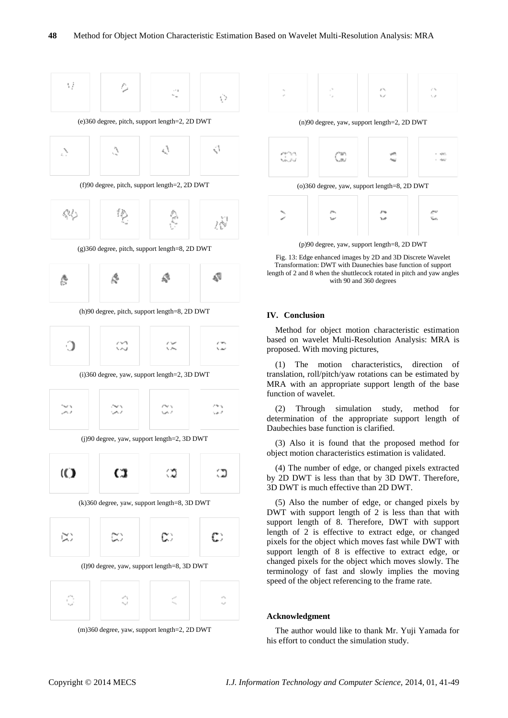



 $\frac{1}{2} \frac{2\pi}{\sqrt{2}}$ 



Fig. 13: Edge enhanced images by 2D and 3D Discrete Wavelet Transformation: DWT with Daunechies base function of support length of 2 and 8 when the shuttlecock rotated in pitch and yaw angles with 90 and 360 degrees

## **IV. Conclusion**

Method for object motion characteristic estimation based on wavelet Multi-Resolution Analysis: MRA is proposed. With moving pictures,

(1) The motion characteristics, direction of translation, roll/pitch/yaw rotations can be estimated by MRA with an appropriate support length of the base function of wavelet.

(2) Through simulation study, method for determination of the appropriate support length of Daubechies base function is clarified.

(3) Also it is found that the proposed method for object motion characteristics estimation is validated.

(4) The number of edge, or changed pixels extracted by 2D DWT is less than that by 3D DWT. Therefore, 3D DWT is much effective than 2D DWT.

(5) Also the number of edge, or changed pixels by DWT with support length of 2 is less than that with support length of 8. Therefore, DWT with support length of 2 is effective to extract edge, or changed pixels for the object which moves fast while DWT with support length of 8 is effective to extract edge, or changed pixels for the object which moves slowly. The terminology of fast and slowly implies the moving speed of the object referencing to the frame rate.

#### **Acknowledgment**

The author would like to thank Mr. Yuji Yamada for his effort to conduct the simulation study.